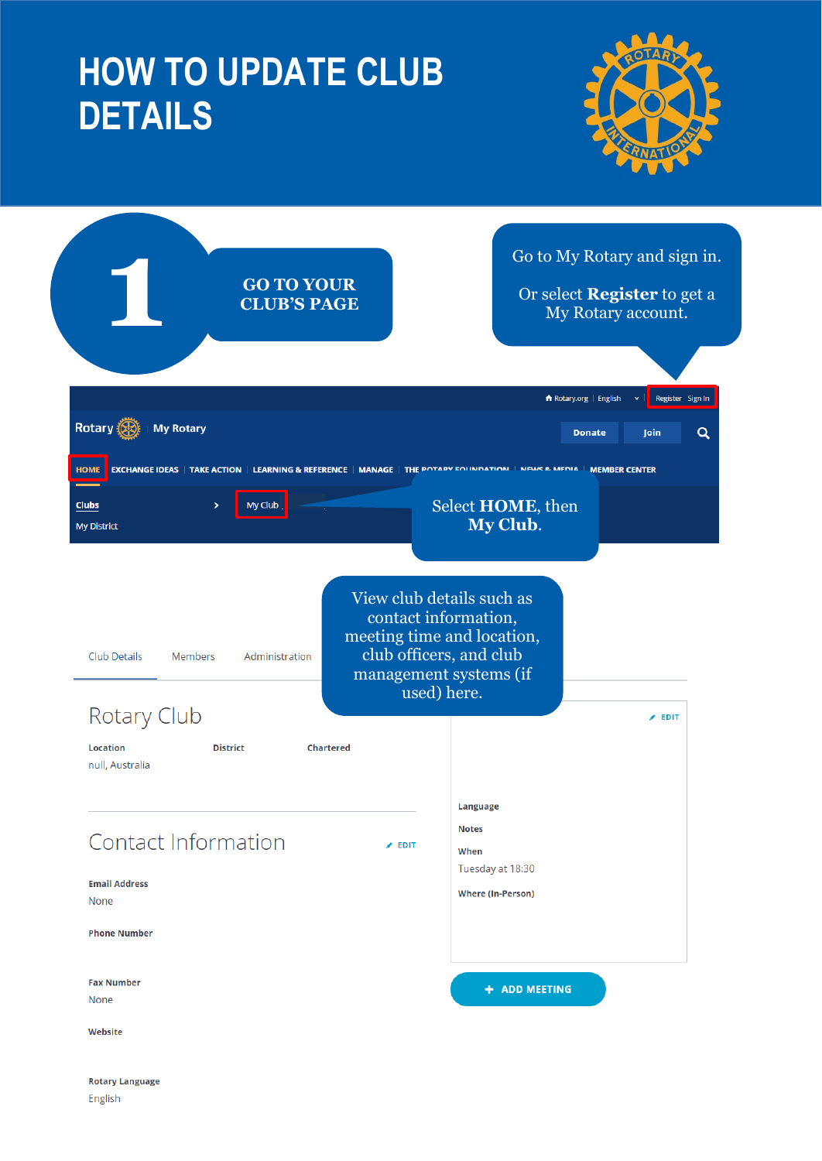# **HOW TO UPDATE CLUB DETAILS**

English



|                                                       | <b>GO TO YOUR</b><br><b>CLUB'S PAGE</b>     |                                                                               | Go to My Rotary and sign in.<br>Or select <b>Register</b> to get a<br>My Rotary account. |
|-------------------------------------------------------|---------------------------------------------|-------------------------------------------------------------------------------|------------------------------------------------------------------------------------------|
|                                                       |                                             |                                                                               | Register Sign In<br><b>A</b> Rotary.org   English                                        |
| Rotary <b>K</b><br><b>My Rotary</b>                   |                                             |                                                                               | $\alpha$<br><b>Donate</b><br><b>Join</b>                                                 |
| <b>EXCHANGE IDEAS</b><br><b>HOME</b>                  | <b>TAKE ACTION LEARNING &amp; REFERENCE</b> | MANAGE   THE POTARY FOUNDATION<br><b>NEWS &amp; MEDIA</b>                     | <b>MEMBER CENTER</b>                                                                     |
| <b>Clubs</b><br>$\rightarrow$<br><b>My District</b>   | My Club                                     | Select HOME, then<br>My Club.                                                 |                                                                                          |
| Club Details<br><b>Members</b>                        | Administration                              | contact information,<br>meeting time and location,<br>club officers, and club |                                                                                          |
| <b>Rotary Club</b>                                    |                                             | management systems (if<br>used) here.                                         | $\angle$ EDIT                                                                            |
| <b>Location</b><br><b>District</b><br>null, Australia | <b>Chartered</b>                            | Language                                                                      |                                                                                          |
| Contact Information                                   | $\angle$ EDIT                               | <b>Notes</b><br>When                                                          |                                                                                          |
| <b>Email Address</b><br>None                          |                                             | Tuesday at 18:30<br><b>Where (In-Person)</b>                                  |                                                                                          |
| <b>Phone Number</b>                                   |                                             |                                                                               |                                                                                          |
| <b>Fax Number</b><br>None                             |                                             | + ADD MEETING                                                                 |                                                                                          |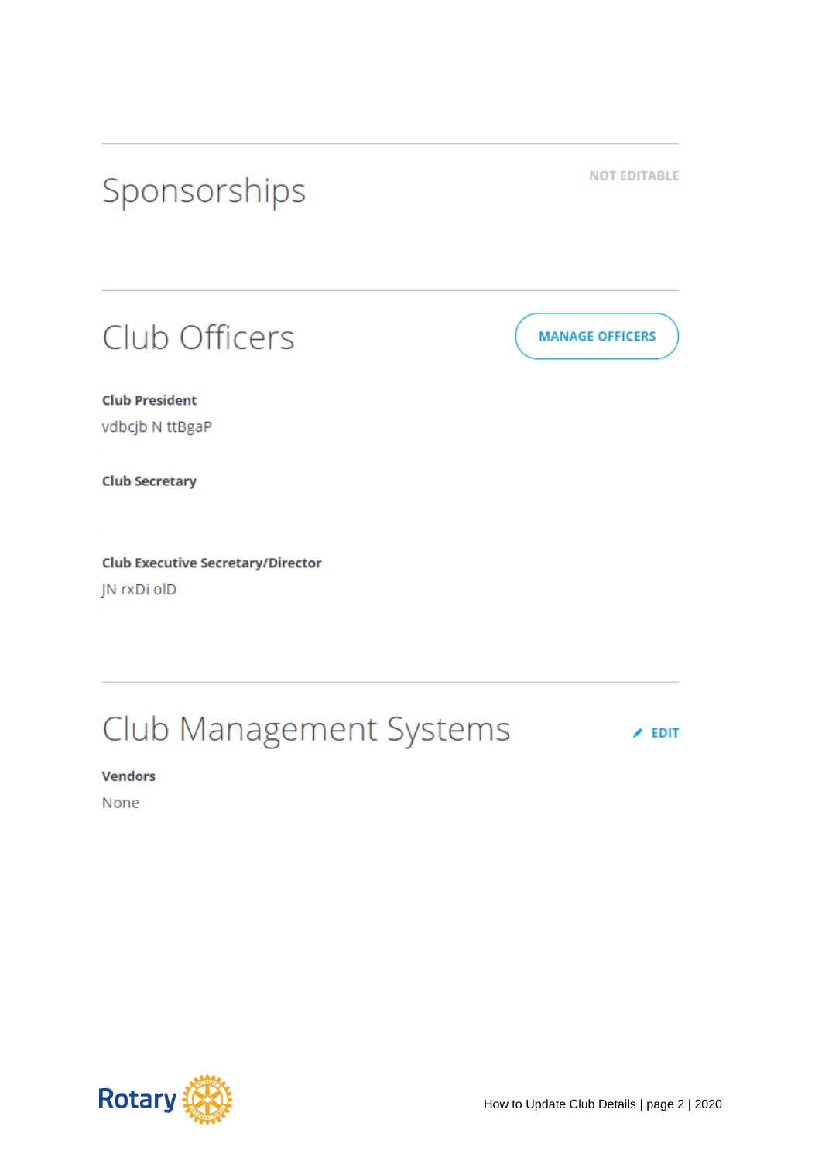

## Club Management Systems

 $\angle$  EDIT

**Vendors** 

None

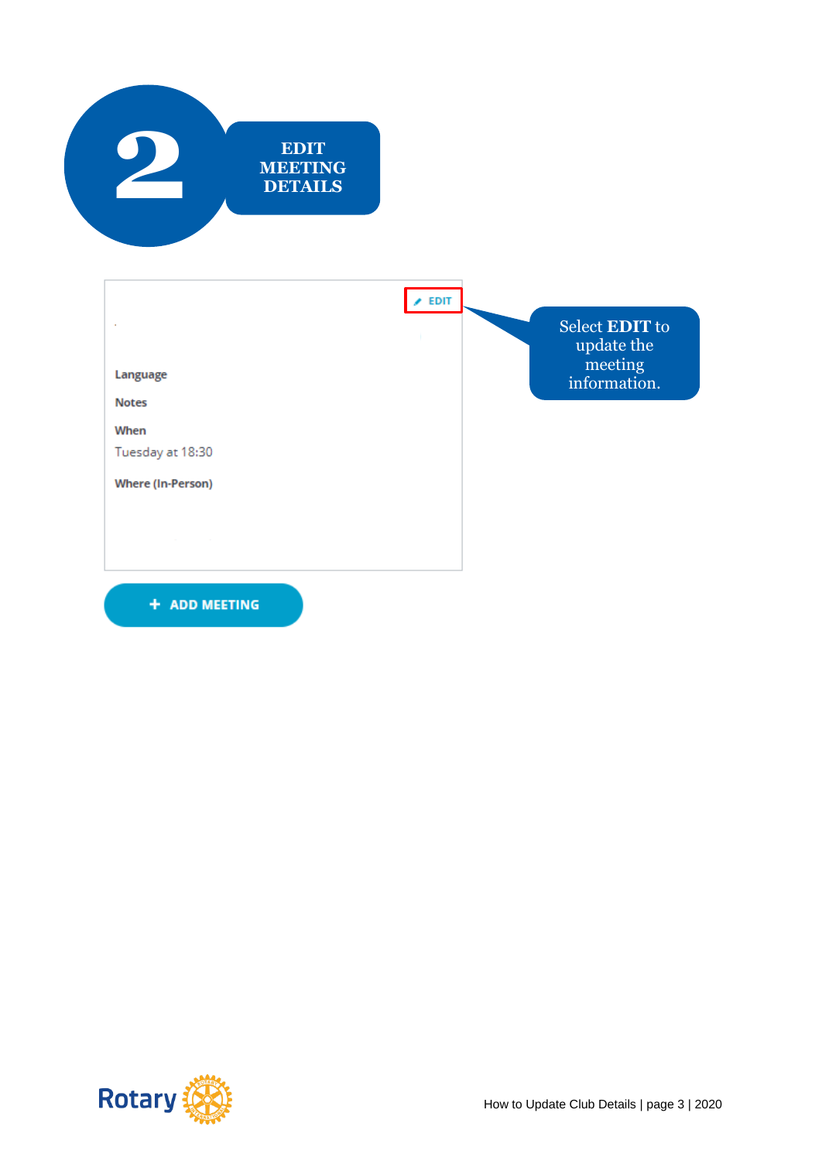



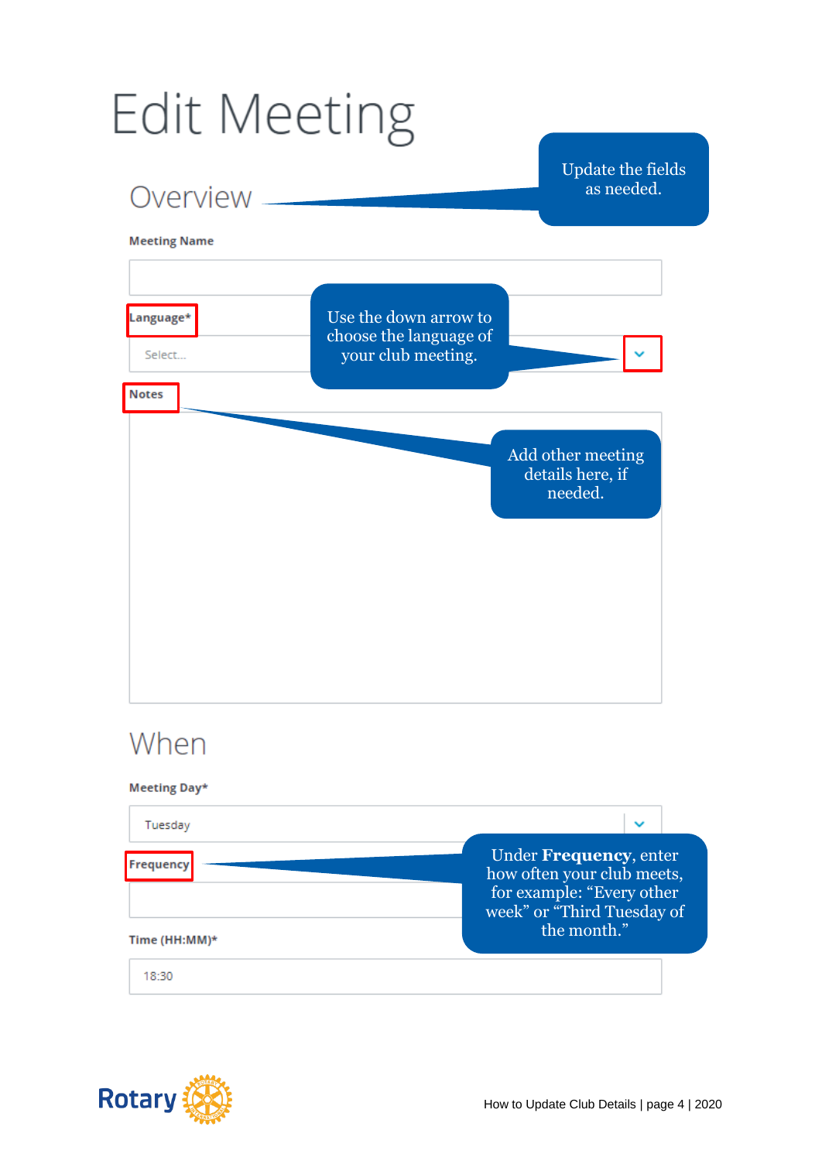# **Edit Meeting**



#### Time (HH:MM)\*

18:30

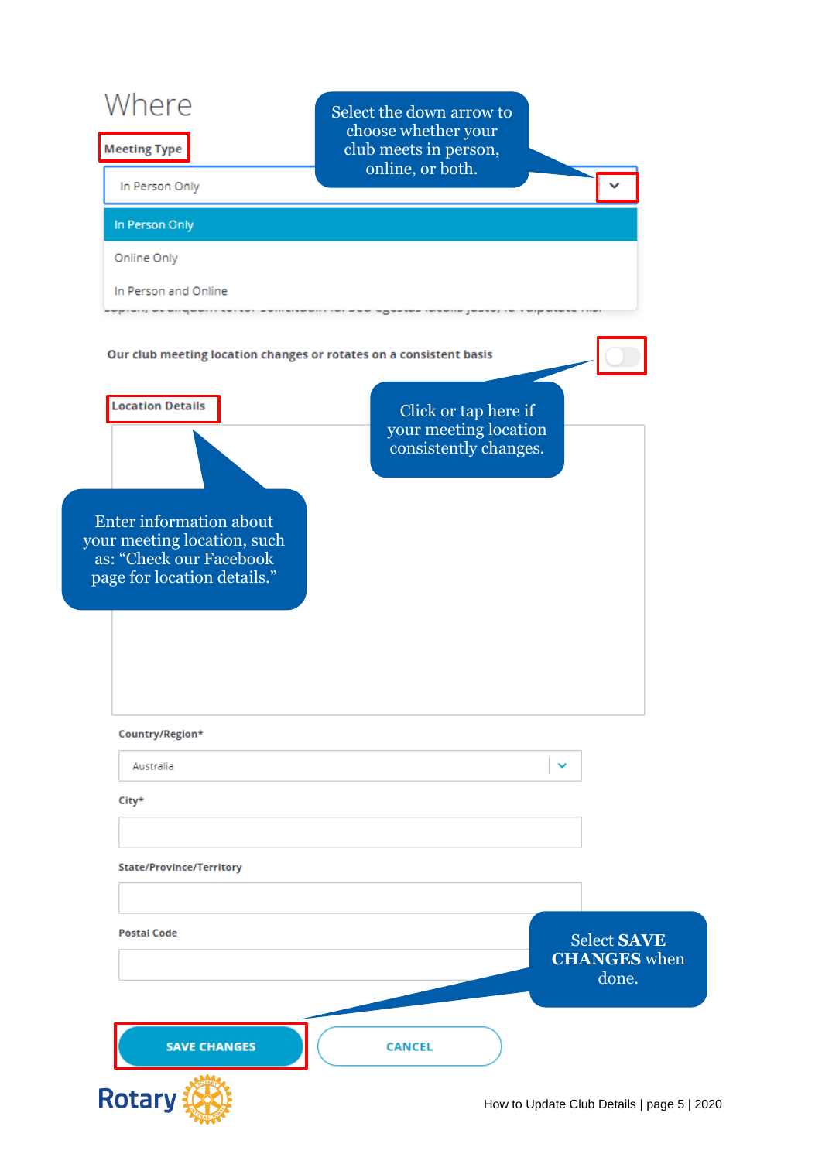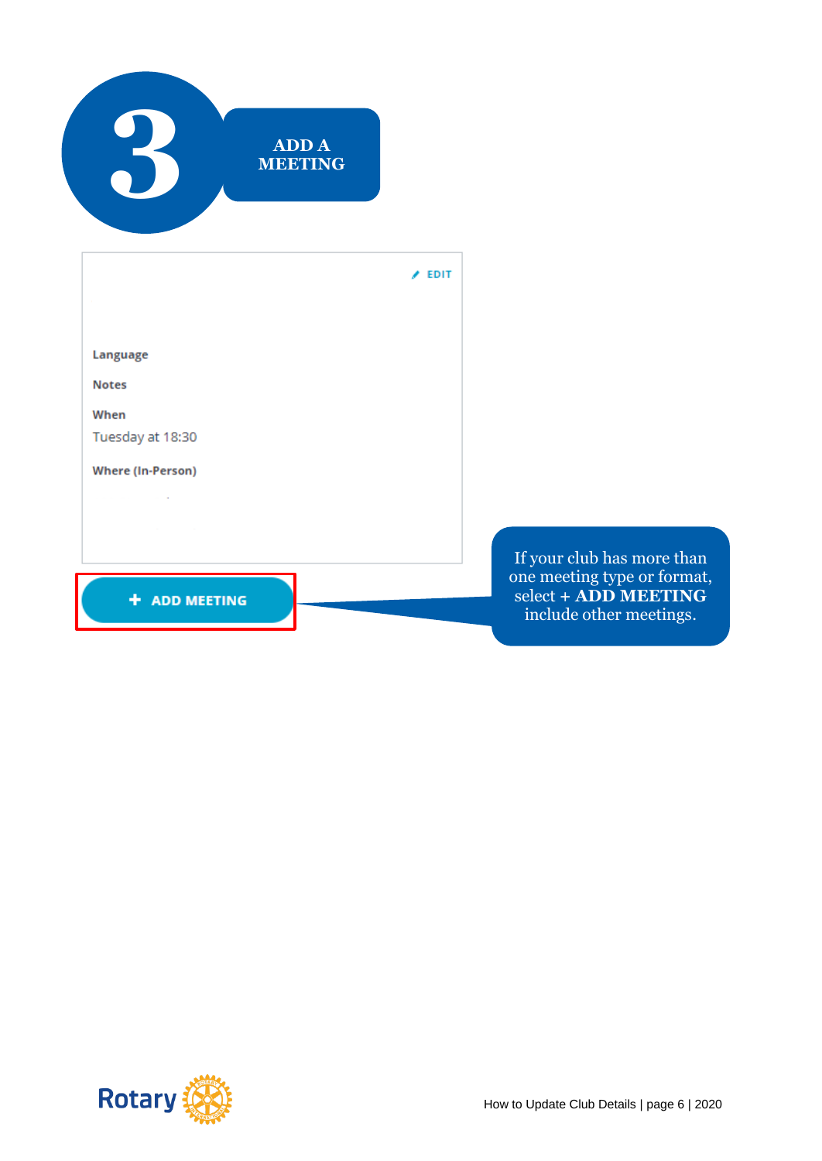

 $\angle$  EDIT

Language

**Notes** 

When

Tuesday at 18:30

**Where (In-Person)** 

 $\Delta \sim 10^{11}$  km  $^{-1}$ 

+ ADD MEETING

If your club has more than one meeting type or format,  $select + \widetilde{ADD}$  MEETING include other meetings.

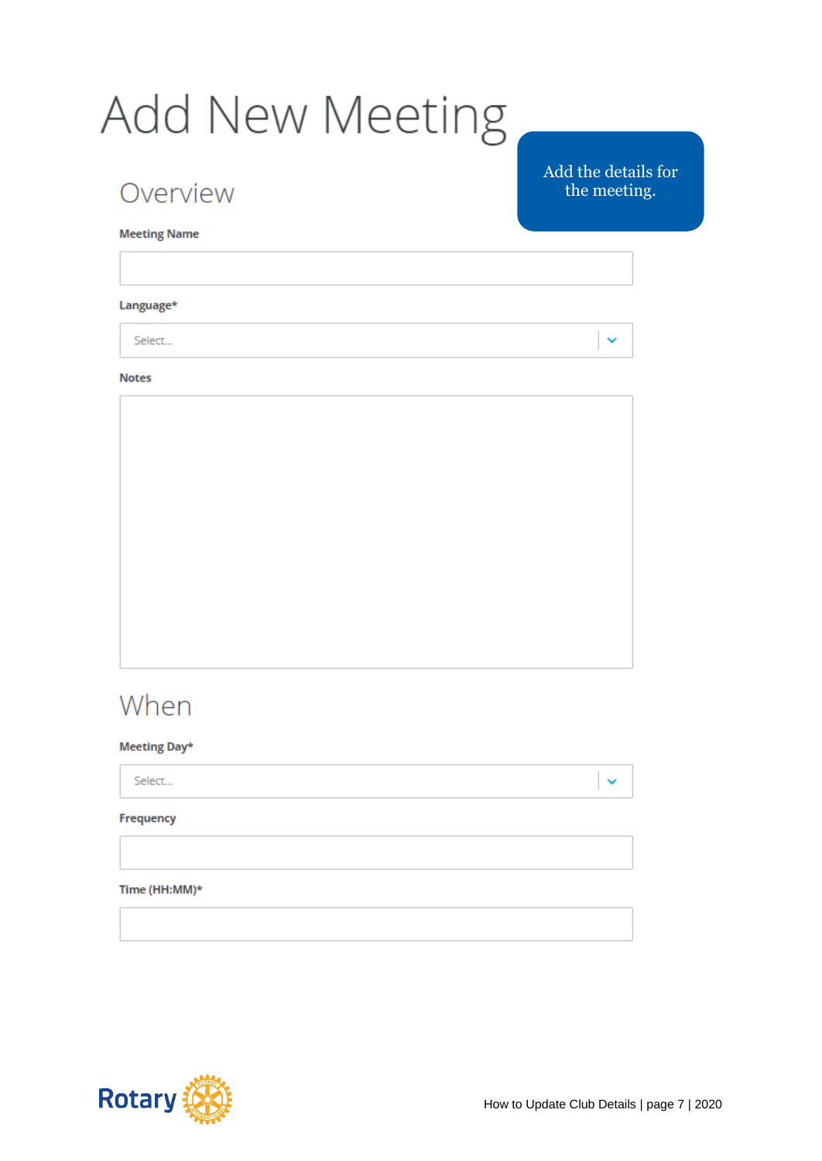# Add New Meeting

### Overview

Add the details for the meeting.

 $\checkmark$ 

**Meeting Name** 

#### Language\*

Select...

#### **Notes**



## When

#### Meeting Day\*

Select...

#### Frequency

#### Time (HH:MM)\*



 $\checkmark$